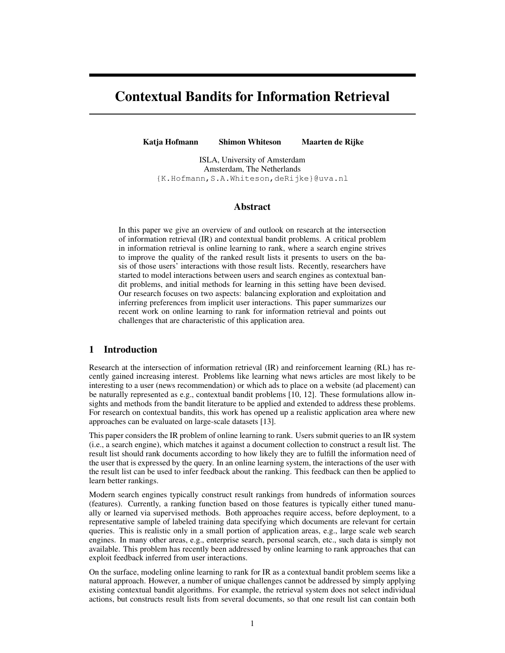# Contextual Bandits for Information Retrieval

Katja Hofmann Shimon Whiteson Maarten de Rijke

ISLA, University of Amsterdam Amsterdam, The Netherlands {K.Hofmann,S.A.Whiteson,deRijke}@uva.nl

#### Abstract

In this paper we give an overview of and outlook on research at the intersection of information retrieval (IR) and contextual bandit problems. A critical problem in information retrieval is online learning to rank, where a search engine strives to improve the quality of the ranked result lists it presents to users on the basis of those users' interactions with those result lists. Recently, researchers have started to model interactions between users and search engines as contextual bandit problems, and initial methods for learning in this setting have been devised. Our research focuses on two aspects: balancing exploration and exploitation and inferring preferences from implicit user interactions. This paper summarizes our recent work on online learning to rank for information retrieval and points out challenges that are characteristic of this application area.

# 1 Introduction

Research at the intersection of information retrieval (IR) and reinforcement learning (RL) has recently gained increasing interest. Problems like learning what news articles are most likely to be interesting to a user (news recommendation) or which ads to place on a website (ad placement) can be naturally represented as e.g., contextual bandit problems [10, 12]. These formulations allow insights and methods from the bandit literature to be applied and extended to address these problems. For research on contextual bandits, this work has opened up a realistic application area where new approaches can be evaluated on large-scale datasets [13].

This paper considers the IR problem of online learning to rank. Users submit queries to an IR system (i.e., a search engine), which matches it against a document collection to construct a result list. The result list should rank documents according to how likely they are to fulfill the information need of the user that is expressed by the query. In an online learning system, the interactions of the user with the result list can be used to infer feedback about the ranking. This feedback can then be applied to learn better rankings.

Modern search engines typically construct result rankings from hundreds of information sources (features). Currently, a ranking function based on those features is typically either tuned manually or learned via supervised methods. Both approaches require access, before deployment, to a representative sample of labeled training data specifying which documents are relevant for certain queries. This is realistic only in a small portion of application areas, e.g., large scale web search engines. In many other areas, e.g., enterprise search, personal search, etc., such data is simply not available. This problem has recently been addressed by online learning to rank approaches that can exploit feedback inferred from user interactions.

On the surface, modeling online learning to rank for IR as a contextual bandit problem seems like a natural approach. However, a number of unique challenges cannot be addressed by simply applying existing contextual bandit algorithms. For example, the retrieval system does not select individual actions, but constructs result lists from several documents, so that one result list can contain both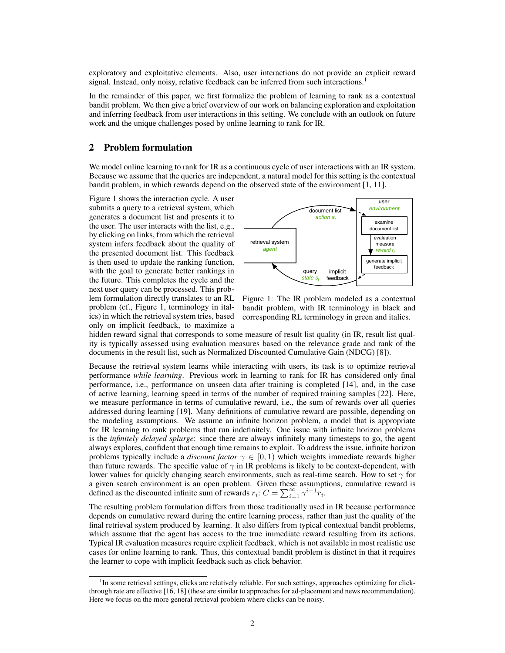exploratory and exploitative elements. Also, user interactions do not provide an explicit reward signal. Instead, only noisy, relative feedback can be inferred from such interactions.<sup>1</sup>

In the remainder of this paper, we first formalize the problem of learning to rank as a contextual bandit problem. We then give a brief overview of our work on balancing exploration and exploitation and inferring feedback from user interactions in this setting. We conclude with an outlook on future work and the unique challenges posed by online learning to rank for IR.

#### 2 Problem formulation

We model online learning to rank for IR as a continuous cycle of user interactions with an IR system. Because we assume that the queries are independent, a natural model for this setting is the contextual bandit problem, in which rewards depend on the observed state of the environment [1, 11].

Figure 1 shows the interaction cycle. A user submits a query to a retrieval system, which generates a document list and presents it to the user. The user interacts with the list, e.g., by clicking on links, from which the retrieval system infers feedback about the quality of the presented document list. This feedback is then used to update the ranking function, with the goal to generate better rankings in the future. This completes the cycle and the next user query can be processed. This problem formulation directly translates to an RL problem (cf., Figure 1, terminology in italics) in which the retrieval system tries, based only on implicit feedback, to maximize a



Figure 1: The IR problem modeled as a contextual bandit problem, with IR terminology in black and corresponding RL terminology in green and italics.

hidden reward signal that corresponds to some measure of result list quality (in IR, result list quality is typically assessed using evaluation measures based on the relevance grade and rank of the documents in the result list, such as Normalized Discounted Cumulative Gain (NDCG) [8]).

Because the retrieval system learns while interacting with users, its task is to optimize retrieval performance *while learning*. Previous work in learning to rank for IR has considered only final performance, i.e., performance on unseen data after training is completed [14], and, in the case of active learning, learning speed in terms of the number of required training samples [22]. Here, we measure performance in terms of cumulative reward, i.e., the sum of rewards over all queries addressed during learning [19]. Many definitions of cumulative reward are possible, depending on the modeling assumptions. We assume an infinite horizon problem, a model that is appropriate for IR learning to rank problems that run indefinitely. One issue with infinite horizon problems is the *infinitely delayed splurge*: since there are always infinitely many timesteps to go, the agent always explores, confident that enough time remains to exploit. To address the issue, infinite horizon problems typically include a *discount factor*  $\gamma \in [0, 1)$  which weights immediate rewards higher than future rewards. The specific value of  $\gamma$  in IR problems is likely to be context-dependent, with lower values for quickly changing search environments, such as real-time search. How to set  $\gamma$  for a given search environment is an open problem. Given these assumptions, cumulative reward is defined as the discounted infinite sum of rewards  $r_i$ :  $C = \sum_{i=1}^{\infty} \gamma^{i-1} r_i$ .

The resulting problem formulation differs from those traditionally used in IR because performance depends on cumulative reward during the entire learning process, rather than just the quality of the final retrieval system produced by learning. It also differs from typical contextual bandit problems, which assume that the agent has access to the true immediate reward resulting from its actions. Typical IR evaluation measures require explicit feedback, which is not available in most realistic use cases for online learning to rank. Thus, this contextual bandit problem is distinct in that it requires the learner to cope with implicit feedback such as click behavior.

<sup>&</sup>lt;sup>1</sup>In some retrieval settings, clicks are relatively reliable. For such settings, approaches optimizing for clickthrough rate are effective [16, 18] (these are similar to approaches for ad-placement and news recommendation). Here we focus on the more general retrieval problem where clicks can be noisy.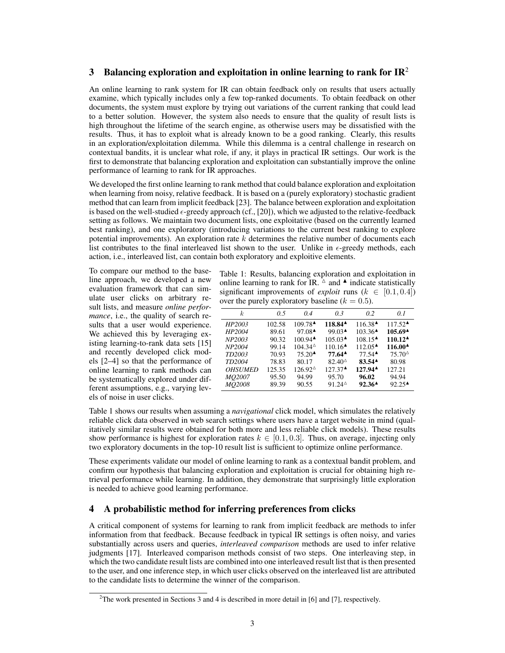# 3 Balancing exploration and exploitation in online learning to rank for  $IR^2$

An online learning to rank system for IR can obtain feedback only on results that users actually examine, which typically includes only a few top-ranked documents. To obtain feedback on other documents, the system must explore by trying out variations of the current ranking that could lead to a better solution. However, the system also needs to ensure that the quality of result lists is high throughout the lifetime of the search engine, as otherwise users may be dissatisfied with the results. Thus, it has to exploit what is already known to be a good ranking. Clearly, this results in an exploration/exploitation dilemma. While this dilemma is a central challenge in research on contextual bandits, it is unclear what role, if any, it plays in practical IR settings. Our work is the first to demonstrate that balancing exploration and exploitation can substantially improve the online performance of learning to rank for IR approaches.

We developed the first online learning to rank method that could balance exploration and exploitation when learning from noisy, relative feedback. It is based on a (purely exploratory) stochastic gradient method that can learn from implicit feedback [23]. The balance between exploration and exploitation is based on the well-studied  $\epsilon$ -greedy approach (cf., [20]), which we adjusted to the relative-feedback setting as follows. We maintain two document lists, one exploitative (based on the currently learned best ranking), and one exploratory (introducing variations to the current best ranking to explore potential improvements). An exploration rate  $k$  determines the relative number of documents each list contributes to the final interleaved list shown to the user. Unlike in  $\epsilon$ -greedy methods, each action, i.e., interleaved list, can contain both exploratory and exploitive elements.

To compare our method to the baseline approach, we developed a new evaluation framework that can simulate user clicks on arbitrary result lists, and measure *online performance*, i.e., the quality of search results that a user would experience. We achieved this by leveraging existing learning-to-rank data sets [15] and recently developed click models [2–4] so that the performance of online learning to rank methods can be systematically explored under different assumptions, e.g., varying levels of noise in user clicks.

Table 1: Results, balancing exploration and exploitation in online learning to rank for IR.  $\Delta$  and  $\blacktriangle$  indicate statistically significant improvements of *exploit* runs  $(k \in [0.1, 0.4])$ over the purely exploratory baseline ( $k = 0.5$ ).

| k.                 | 0.5    | 0.4                                        | 0.3                             | 0.2                                       | 0.1                                      |
|--------------------|--------|--------------------------------------------|---------------------------------|-------------------------------------------|------------------------------------------|
| HP2003             | 102.58 | $109.78^{\triangle}$                       | 118.84 <sup>4</sup>             | 116.38▲                                   | $117.52^{\textstyle\blacktriangle}$      |
| HP2004             | 89.61  | $97.08^{\triangle}$                        | 99.03                           | $103.36^{\textstyle \triangle}\$          | 105.69 <sup>4</sup>                      |
| NP <sub>2003</sub> | 90.32  | $100.94$ <sup><math>\triangle</math></sup> | $105.03^{\textstyle \triangle}$ | $108.15^{\textstyle \bullet}$             | $110.12^{\textstyle\blacktriangle}$      |
| NP2004             | 99.14  | $104.34^{\circ}$                           | $110.16^{\text{-}}$             | $112.05^{\textstyle \triangle}$           | 116.00 <sup><math>\triangle</math></sup> |
| TD2003             | 70.93  | $75.20^{\textstyle \triangle}$             | $77.64^{\triangle}$             | $77.54$ <sup><math>\triangle</math></sup> | $75.70^{\circ}$                          |
| TD2004             | 78.83  | 80.17                                      | $82.40^{\circ}$                 | $83.54^{\triangle}$                       | 80.98                                    |
| <b>OHSUMED</b>     | 125.35 | 126.92 <sup><math>\triangle</math></sup>   | $127.37^{\triangle}$            | $127.94^{\triangle}$                      | 127.21                                   |
| MO2007             | 95.50  | 94.99                                      | 95.70                           | 96.02                                     | 94.94                                    |
| <i>MO2008</i>      | 89.39  | 90.55                                      | $91.24^{\circ}$                 | $92.36^{\text{A}}$                        | $92.25^{\text{A}}$                       |

Table 1 shows our results when assuming a *navigational* click model, which simulates the relatively reliable click data observed in web search settings where users have a target website in mind (qualitatively similar results were obtained for both more and less reliable click models). These results show performance is highest for exploration rates  $k \in [0.1, 0.3]$ . Thus, on average, injecting only two exploratory documents in the top-10 result list is sufficient to optimize online performance.

These experiments validate our model of online learning to rank as a contextual bandit problem, and confirm our hypothesis that balancing exploration and exploitation is crucial for obtaining high retrieval performance while learning. In addition, they demonstrate that surprisingly little exploration is needed to achieve good learning performance.

# 4 A probabilistic method for inferring preferences from clicks

A critical component of systems for learning to rank from implicit feedback are methods to infer information from that feedback. Because feedback in typical IR settings is often noisy, and varies substantially across users and queries, *interleaved comparison* methods are used to infer relative judgments [17]. Interleaved comparison methods consist of two steps. One interleaving step, in which the two candidate result lists are combined into one interleaved result list that is then presented to the user, and one inference step, in which user clicks observed on the interleaved list are attributed to the candidate lists to determine the winner of the comparison.

<sup>&</sup>lt;sup>2</sup>The work presented in Sections 3 and 4 is described in more detail in [6] and [7], respectively.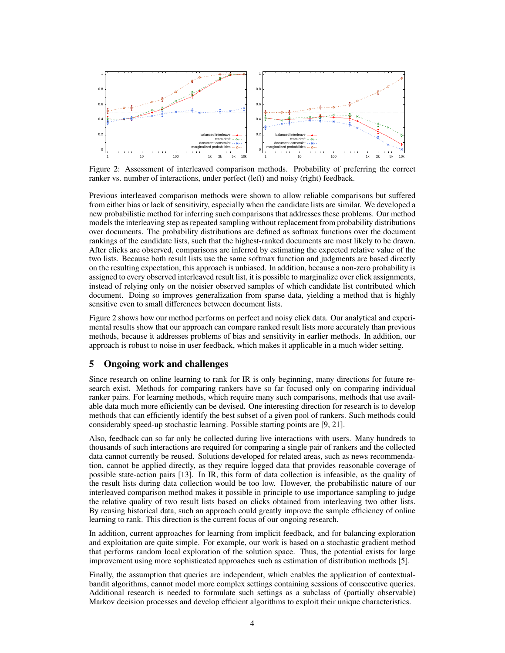

Figure 2: Assessment of interleaved comparison methods. Probability of preferring the correct ranker vs. number of interactions, under perfect (left) and noisy (right) feedback.

Previous interleaved comparison methods were shown to allow reliable comparisons but suffered from either bias or lack of sensitivity, especially when the candidate lists are similar. We developed a new probabilistic method for inferring such comparisons that addresses these problems. Our method models the interleaving step as repeated sampling without replacement from probability distributions over documents. The probability distributions are defined as softmax functions over the document rankings of the candidate lists, such that the highest-ranked documents are most likely to be drawn. After clicks are observed, comparisons are inferred by estimating the expected relative value of the two lists. Because both result lists use the same softmax function and judgments are based directly on the resulting expectation, this approach is unbiased. In addition, because a non-zero probability is assigned to every observed interleaved result list, it is possible to marginalize over click assignments, instead of relying only on the noisier observed samples of which candidate list contributed which document. Doing so improves generalization from sparse data, yielding a method that is highly sensitive even to small differences between document lists.

Figure 2 shows how our method performs on perfect and noisy click data. Our analytical and experimental results show that our approach can compare ranked result lists more accurately than previous methods, because it addresses problems of bias and sensitivity in earlier methods. In addition, our approach is robust to noise in user feedback, which makes it applicable in a much wider setting.

### 5 Ongoing work and challenges

Since research on online learning to rank for IR is only beginning, many directions for future research exist. Methods for comparing rankers have so far focused only on comparing individual ranker pairs. For learning methods, which require many such comparisons, methods that use available data much more efficiently can be devised. One interesting direction for research is to develop methods that can efficiently identify the best subset of a given pool of rankers. Such methods could considerably speed-up stochastic learning. Possible starting points are [9, 21].

Also, feedback can so far only be collected during live interactions with users. Many hundreds to thousands of such interactions are required for comparing a single pair of rankers and the collected data cannot currently be reused. Solutions developed for related areas, such as news recommendation, cannot be applied directly, as they require logged data that provides reasonable coverage of possible state-action pairs [13]. In IR, this form of data collection is infeasible, as the quality of the result lists during data collection would be too low. However, the probabilistic nature of our interleaved comparison method makes it possible in principle to use importance sampling to judge the relative quality of two result lists based on clicks obtained from interleaving two other lists. By reusing historical data, such an approach could greatly improve the sample efficiency of online learning to rank. This direction is the current focus of our ongoing research.

In addition, current approaches for learning from implicit feedback, and for balancing exploration and exploitation are quite simple. For example, our work is based on a stochastic gradient method that performs random local exploration of the solution space. Thus, the potential exists for large improvement using more sophisticated approaches such as estimation of distribution methods [5].

Finally, the assumption that queries are independent, which enables the application of contextualbandit algorithms, cannot model more complex settings containing sessions of consecutive queries. Additional research is needed to formulate such settings as a subclass of (partially observable) Markov decision processes and develop efficient algorithms to exploit their unique characteristics.